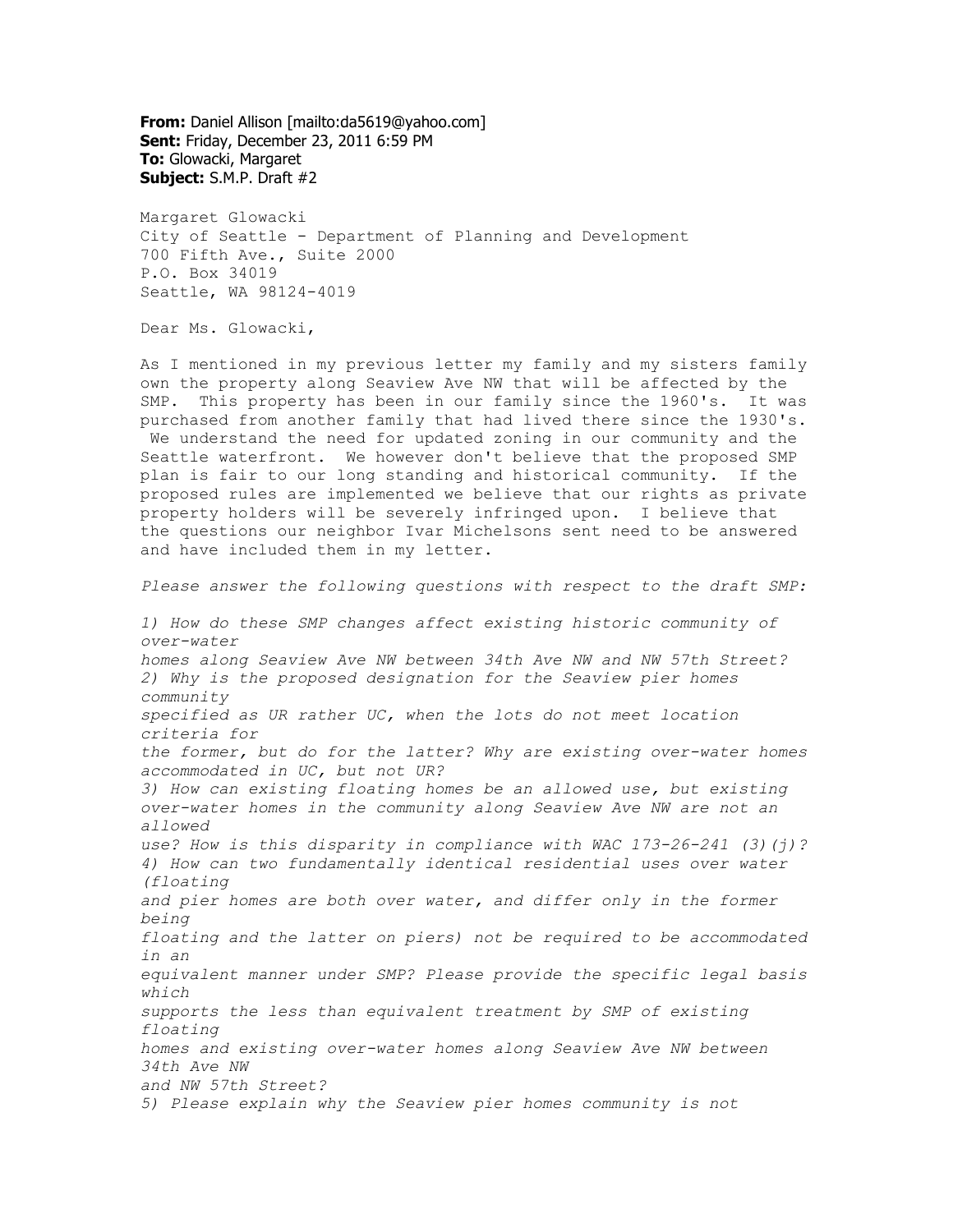**From:** Daniel Allison [mailto:da5619@yahoo.com] **Sent:** Friday, December 23, 2011 6:59 PM **To:** Glowacki, Margaret **Subject:** S.M.P. Draft #2

Margaret Glowacki City of Seattle - Department of Planning and Development 700 Fifth Ave., Suite 2000 P.O. Box 34019 Seattle, WA 98124-4019

Dear Ms. Glowacki,

As I mentioned in my previous letter my family and my sisters family own the property along Seaview Ave NW that will be affected by the SMP. This property has been in our family since the 1960's. It was purchased from another family that had lived there since the 1930's. We understand the need for updated zoning in our community and the Seattle waterfront. We however don't believe that the proposed SMP plan is fair to our long standing and historical community. If the proposed rules are implemented we believe that our rights as private property holders will be severely infringed upon. I believe that the questions our neighbor Ivar Michelsons sent need to be answered and have included them in my letter.

*Please answer the following questions with respect to the draft SMP:*

*1) How do these SMP changes affect existing historic community of over-water homes along Seaview Ave NW between 34th Ave NW and NW 57th Street? 2) Why is the proposed designation for the Seaview pier homes community specified as UR rather UC, when the lots do not meet location criteria for the former, but do for the latter? Why are existing over-water homes accommodated in UC, but not UR? 3) How can existing floating homes be an allowed use, but existing over-water homes in the community along Seaview Ave NW are not an allowed use? How is this disparity in compliance with WAC 173-26-241 (3)(j)? 4) How can two fundamentally identical residential uses over water (floating and pier homes are both over water, and differ only in the former being floating and the latter on piers) not be required to be accommodated in an equivalent manner under SMP? Please provide the specific legal basis which supports the less than equivalent treatment by SMP of existing floating homes and existing over-water homes along Seaview Ave NW between 34th Ave NW and NW 57th Street? 5) Please explain why the Seaview pier homes community is not*